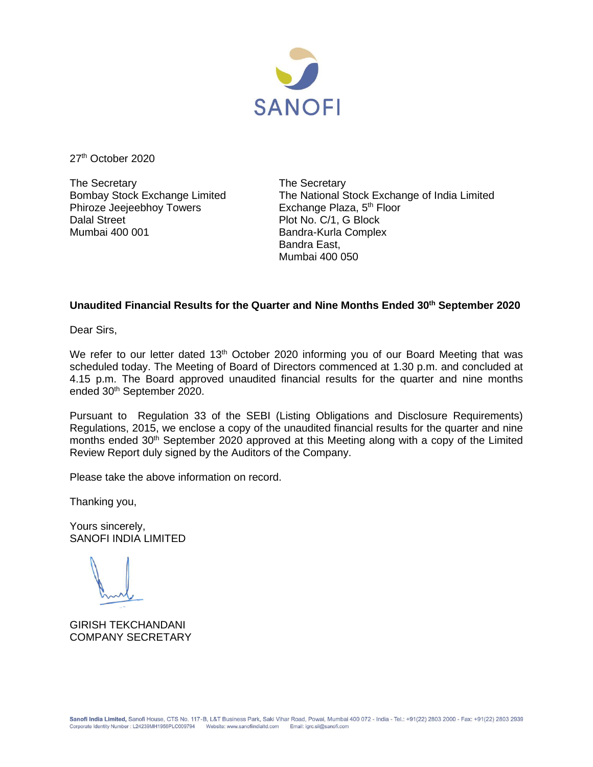

27<sup>th</sup> October 2020

The Secretary The Secretary Phiroze Jeejeebhoy Towers Dalal Street **Plot No. C/1, G Block** Mumbai 400 001 **Bandra-Kurla Complex** 

Bombay Stock Exchange Limited<br>
Phiroze Jeejeebhoy Towers<br>
Exchange Plaza, 5<sup>th</sup> Floor<br>
The National Stock Exchange Plaza, 5<sup>th</sup> Floor Bandra East, Mumbai 400 050

## **Unaudited Financial Results for the Quarter and Nine Months Ended 30th September 2020**

Dear Sirs,

We refer to our letter dated 13<sup>th</sup> October 2020 informing you of our Board Meeting that was scheduled today. The Meeting of Board of Directors commenced at 1.30 p.m. and concluded at 4.15 p.m. The Board approved unaudited financial results for the quarter and nine months ended 30<sup>th</sup> September 2020.

Pursuant to Regulation 33 of the SEBI (Listing Obligations and Disclosure Requirements) Regulations, 2015, we enclose a copy of the unaudited financial results for the quarter and nine months ended 30<sup>th</sup> September 2020 approved at this Meeting along with a copy of the Limited Review Report duly signed by the Auditors of the Company.

Please take the above information on record.

Thanking you,

Yours sincerely, SANOFI INDIA LIMITED

GIRISH TEKCHANDANI COMPANY SECRETARY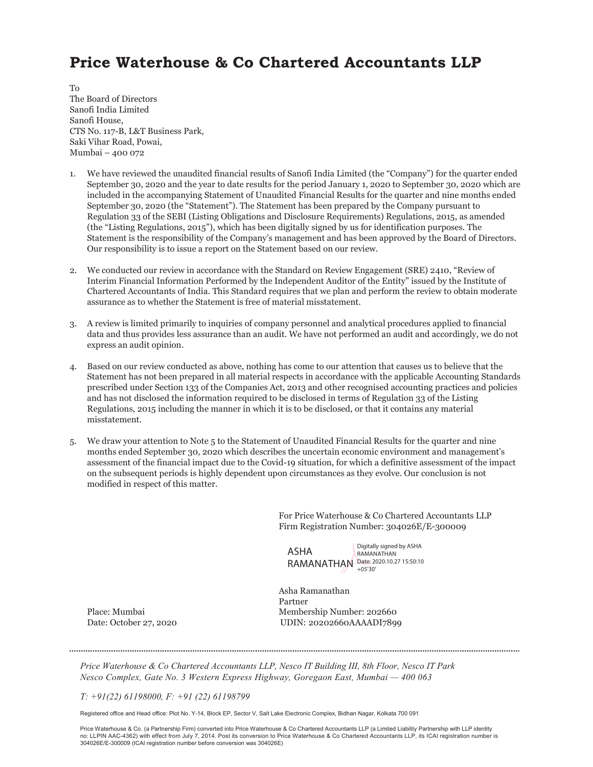# Price Waterhouse & Co Chartered Accountants LLP

To The Board of Directors Sanofi India Limited Sanofi House, CTS No. 117-B, L&T Business Park, Saki Vihar Road, Powai, Mumbai – 400 072

- 1. We have reviewed the unaudited financial results of Sanofi India Limited (the "Company") for the quarter ended September 30, 2020 and the year to date results for the period January 1, 2020 to September 30, 2020 which are included in the accompanying Statement of Unaudited Financial Results for the quarter and nine months ended September 30, 2020 (the "Statement"). The Statement has been prepared by the Company pursuant to Regulation 33 of the SEBI (Listing Obligations and Disclosure Requirements) Regulations, 2015, as amended (the "Listing Regulations, 2015"), which has been digitally signed by us for identification purposes. The Statement is the responsibility of the Company's management and has been approved by the Board of Directors. Our responsibility is to issue a report on the Statement based on our review.
- 2. We conducted our review in accordance with the Standard on Review Engagement (SRE) 2410, "Review of Interim Financial Information Performed by the Independent Auditor of the Entity" issued by the Institute of Chartered Accountants of India. This Standard requires that we plan and perform the review to obtain moderate assurance as to whether the Statement is free of material misstatement.
- 3. A review is limited primarily to inquiries of company personnel and analytical procedures applied to financial data and thus provides less assurance than an audit. We have not performed an audit and accordingly, we do not express an audit opinion.
- 4. Based on our review conducted as above, nothing has come to our attention that causes us to believe that the Statement has not been prepared in all material respects in accordance with the applicable Accounting Standards prescribed under Section 133 of the Companies Act, 2013 and other recognised accounting practices and policies and has not disclosed the information required to be disclosed in terms of Regulation 33 of the Listing Regulations, 2015 including the manner in which it is to be disclosed, or that it contains any material misstatement.
- 5. We draw your attention to Note 5 to the Statement of Unaudited Financial Results for the quarter and nine months ended September 30, 2020 which describes the uncertain economic environment and management's assessment of the financial impact due to the Covid-19 situation, for which a definitive assessment of the impact on the subsequent periods is highly dependent upon circumstances as they evolve. Our conclusion is not modified in respect of this matter.

For Price Waterhouse & Co Chartered Accountants LLP Firm Registration Number: 304026E/E-300009

ASHA RAMANATHAN Date: 2020.10.27 15:50:10

Digitally signed by ASHA RAMANATHAN

 Asha Ramanathan Partner Place: Mumbai Membership Number: 202660 Date: October 27, 2020 UDIN: 20202660AAAADI7899

*Price Waterhouse & Co Chartered Accountants LLP, Nesco IT Building III, 8th Floor, Nesco IT Park Nesco Complex, Gate No. 3 Western Express Highway, Goregaon East, Mumbai — 400 063* 

*T: +91(22) 61198000, F: +91 (22) 61198799* 

Registered office and Head office: Plot No. Y-14, Block EP, Sector V, Salt Lake Electronic Complex, Bidhan Nagar, Kolkata 700 091

Price Waterhouse & Co. (a Partnership Firm) converted into Price Waterhouse & Co Chartered Accountants LLP (a Limited Liability Partnership with LLP identity no: LLPIN AAC-4362) with effect from July 7, 2014. Post its conversion to Price Waterhouse & Co Chartered Accountants LLP, its ICAI registration number is 304026E/E-300009 (ICAI registration number before conversion was 304026E)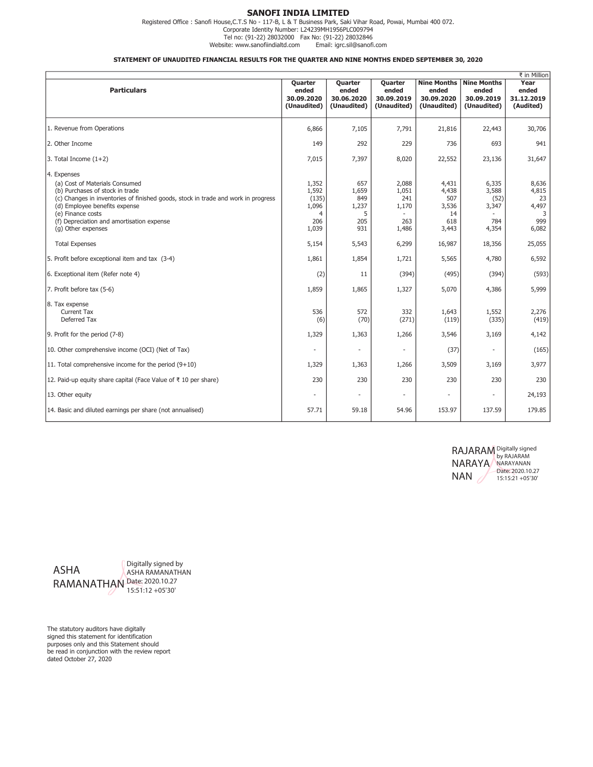### SANOFI INDIA LIMITED

Registered Office : Sanofi House,C.T.S No - 117-B, L & T Business Park, Saki Vihar Road, Powai, Mumbai 400 072. Corporate Identity Number: L24239MH1956PLC009794 Tel no: (91-22) 28032000 Fax No: (91-22) 28032846 Website: www.sanofiindialtd.com

#### STATEMENT OF UNAUDITED FINANCIAL RESULTS FOR THE QUARTER AND NINE MONTHS ENDED SEPTEMBER 30, 2020

| ₹ in Million                                                                                                                                                                                                                                                                                   |                                                       |                                                 |                                                |                                                          |                                                          |                                                    |
|------------------------------------------------------------------------------------------------------------------------------------------------------------------------------------------------------------------------------------------------------------------------------------------------|-------------------------------------------------------|-------------------------------------------------|------------------------------------------------|----------------------------------------------------------|----------------------------------------------------------|----------------------------------------------------|
| <b>Particulars</b>                                                                                                                                                                                                                                                                             | Quarter<br>ended<br>30.09.2020<br>(Unaudited)         | Quarter<br>ended<br>30.06.2020<br>(Unaudited)   | Quarter<br>ended<br>30.09.2019<br>(Unaudited)  | <b>Nine Months</b><br>ended<br>30.09.2020<br>(Unaudited) | <b>Nine Months</b><br>ended<br>30.09.2019<br>(Unaudited) | Year<br>ended<br>31.12.2019<br>(Audited)           |
| 1. Revenue from Operations                                                                                                                                                                                                                                                                     | 6,866                                                 | 7,105                                           | 7,791                                          | 21,816                                                   | 22,443                                                   | 30,706                                             |
| 2. Other Income                                                                                                                                                                                                                                                                                | 149                                                   | 292                                             | 229                                            | 736                                                      | 693                                                      | 941                                                |
| $3.$ Total Income $(1+2)$                                                                                                                                                                                                                                                                      | 7,015                                                 | 7,397                                           | 8,020                                          | 22,552                                                   | 23,136                                                   | 31,647                                             |
| 4. Expenses<br>(a) Cost of Materials Consumed<br>(b) Purchases of stock in trade<br>(c) Changes in inventories of finished goods, stock in trade and work in progress<br>(d) Employee benefits expense<br>(e) Finance costs<br>(f) Depreciation and amortisation expense<br>(g) Other expenses | 1,352<br>1,592<br>(135)<br>1,096<br>4<br>206<br>1,039 | 657<br>1,659<br>849<br>1,237<br>5<br>205<br>931 | 2,088<br>1,051<br>241<br>1,170<br>263<br>1,486 | 4,431<br>4,438<br>507<br>3,536<br>14<br>618<br>3,443     | 6,335<br>3,588<br>(52)<br>3,347<br>784<br>4,354          | 8,636<br>4,815<br>23<br>4,497<br>3<br>999<br>6,082 |
| <b>Total Expenses</b>                                                                                                                                                                                                                                                                          | 5,154                                                 | 5,543                                           | 6,299                                          | 16,987                                                   | 18,356                                                   | 25,055                                             |
| 5. Profit before exceptional item and tax (3-4)                                                                                                                                                                                                                                                | 1,861                                                 | 1,854                                           | 1,721                                          | 5,565                                                    | 4,780                                                    | 6,592                                              |
| 6. Exceptional item (Refer note 4)                                                                                                                                                                                                                                                             | (2)                                                   | 11                                              | (394)                                          | (495)                                                    | (394)                                                    | (593)                                              |
| 7. Profit before tax (5-6)                                                                                                                                                                                                                                                                     | 1,859                                                 | 1,865                                           | 1,327                                          | 5,070                                                    | 4,386                                                    | 5,999                                              |
| 8. Tax expense<br>Current Tax<br>Deferred Tax                                                                                                                                                                                                                                                  | 536<br>(6)                                            | 572<br>(70)                                     | 332<br>(271)                                   | 1,643<br>(119)                                           | 1,552<br>(335)                                           | 2,276<br>(419)                                     |
| 9. Profit for the period (7-8)                                                                                                                                                                                                                                                                 | 1,329                                                 | 1,363                                           | 1,266                                          | 3,546                                                    | 3,169                                                    | 4,142                                              |
| 10. Other comprehensive income (OCI) (Net of Tax)                                                                                                                                                                                                                                              |                                                       | $\overline{a}$                                  | ÷,                                             | (37)                                                     |                                                          | (165)                                              |
| 11. Total comprehensive income for the period $(9+10)$                                                                                                                                                                                                                                         | 1,329                                                 | 1,363                                           | 1,266                                          | 3,509                                                    | 3,169                                                    | 3,977                                              |
| 12. Paid-up equity share capital (Face Value of ₹ 10 per share)                                                                                                                                                                                                                                | 230                                                   | 230                                             | 230                                            | 230                                                      | 230                                                      | 230                                                |
| 13. Other equity                                                                                                                                                                                                                                                                               |                                                       |                                                 |                                                |                                                          |                                                          | 24,193                                             |
| 14. Basic and diluted earnings per share (not annualised)                                                                                                                                                                                                                                      | 57.71                                                 | 59.18                                           | 54.96                                          | 153.97                                                   | 137.59                                                   | 179.85                                             |

RAJARAM NARAYA NAN Digitally signed by RAJARAM NARAYANAN Date: 2020.10.27 15:15:21 +05'30'



The statutory auditors have digitally signed this statement for identification purposes only and this Statement should be read in conjunction with the review report dated October 27, 2020